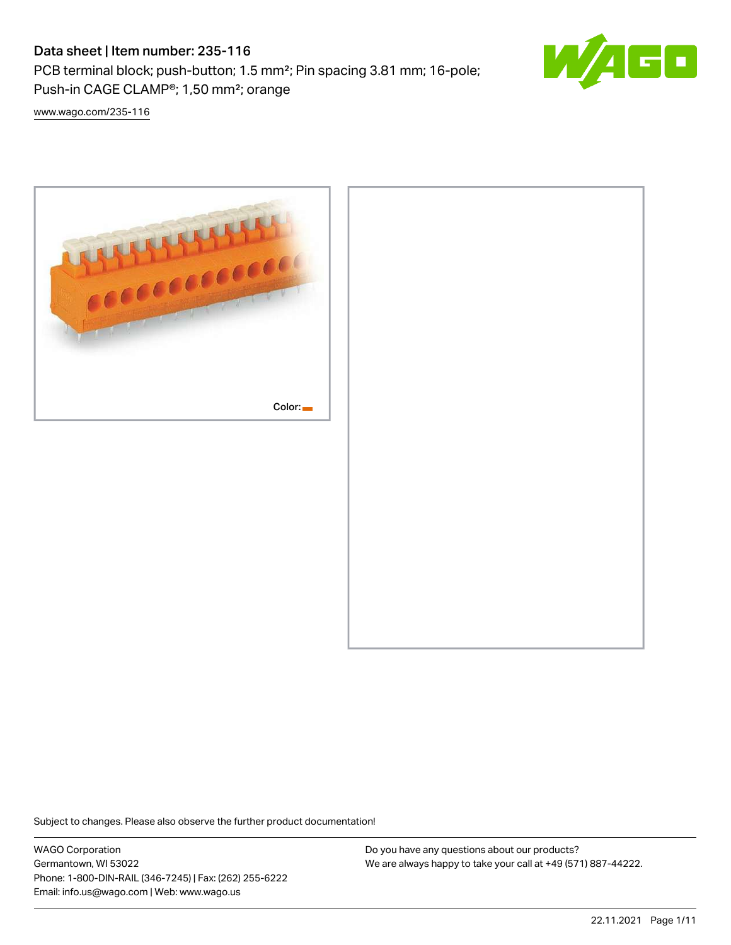# Data sheet | Item number: 235-116

PCB terminal block; push-button; 1.5 mm²; Pin spacing 3.81 mm; 16-pole; Push-in CAGE CLAMP®; 1,50 mm²; orange



[www.wago.com/235-116](http://www.wago.com/235-116)



Subject to changes. Please also observe the further product documentation!

WAGO Corporation Germantown, WI 53022 Phone: 1-800-DIN-RAIL (346-7245) | Fax: (262) 255-6222 Email: info.us@wago.com | Web: www.wago.us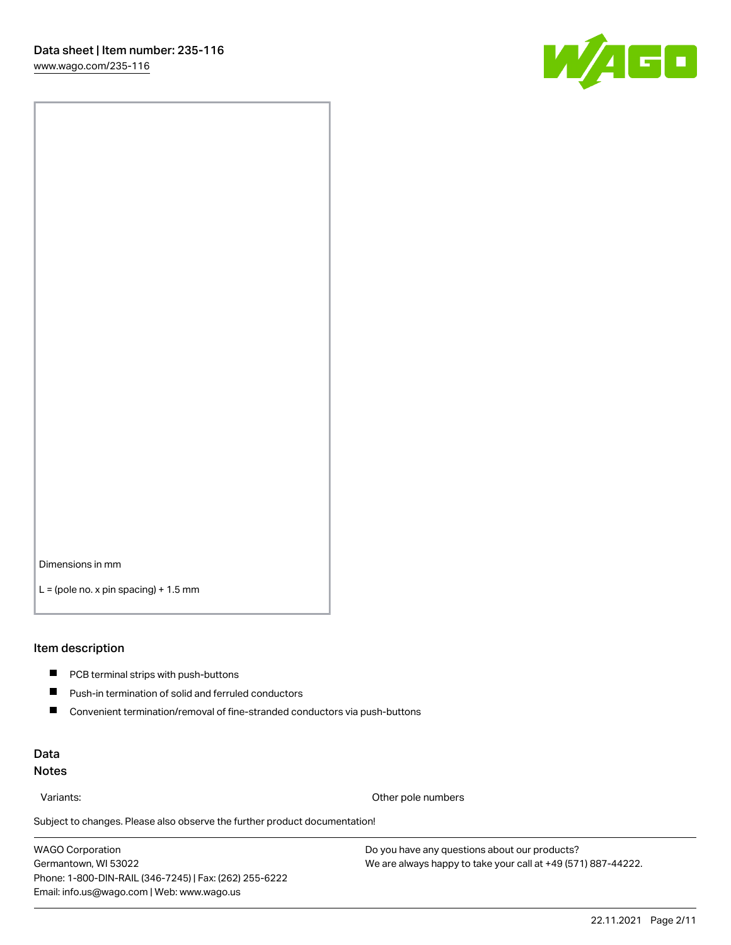

Dimensions in mm

 $L =$  (pole no. x pin spacing) + 1.5 mm

#### Item description

- **PCB terminal strips with push-buttons**
- $\blacksquare$ Push-in termination of solid and ferruled conductors
- $\blacksquare$ Convenient termination/removal of fine-stranded conductors via push-buttons

## Data Notes

Variants: Other pole numbers

Subject to changes. Please also observe the further product documentation! Other colors

WAGO Corporation Germantown, WI 53022 Phone: 1-800-DIN-RAIL (346-7245) | Fax: (262) 255-6222 Email: info.us@wago.com | Web: www.wago.us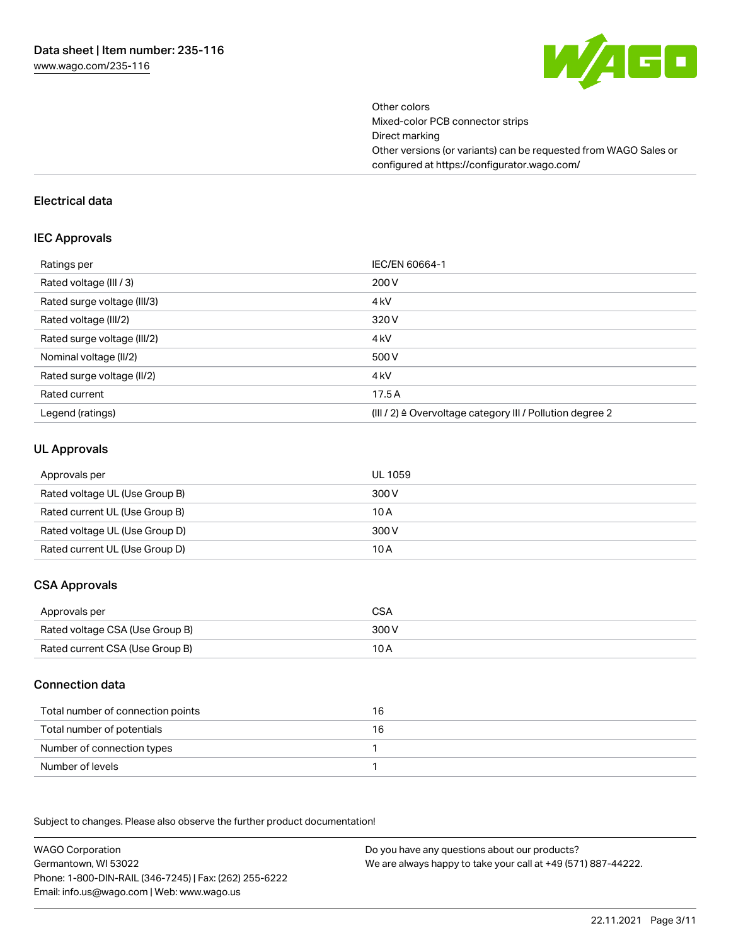

Other colors Mixed-color PCB connector strips Direct marking Other versions (or variants) can be requested from WAGO Sales or configured at https://configurator.wago.com/

#### Electrical data

#### IEC Approvals

| Ratings per                 | IEC/EN 60664-1                                                        |
|-----------------------------|-----------------------------------------------------------------------|
| Rated voltage (III / 3)     | 200 V                                                                 |
| Rated surge voltage (III/3) | 4 <sub>k</sub> V                                                      |
| Rated voltage (III/2)       | 320 V                                                                 |
| Rated surge voltage (III/2) | 4 <sub>k</sub> V                                                      |
| Nominal voltage (II/2)      | 500 V                                                                 |
| Rated surge voltage (II/2)  | 4 <sub>k</sub> V                                                      |
| Rated current               | 17.5A                                                                 |
| Legend (ratings)            | $(III / 2)$ $\triangle$ Overvoltage category III / Pollution degree 2 |

### UL Approvals

| Approvals per                  | UL 1059 |
|--------------------------------|---------|
| Rated voltage UL (Use Group B) | 300 V   |
| Rated current UL (Use Group B) | 10 A    |
| Rated voltage UL (Use Group D) | 300 V   |
| Rated current UL (Use Group D) | 10 A    |

# CSA Approvals

| Approvals per                   | CSA   |
|---------------------------------|-------|
| Rated voltage CSA (Use Group B) | 300 V |
| Rated current CSA (Use Group B) | 10 A  |

## Connection data

| Total number of connection points | 16 |
|-----------------------------------|----|
| Total number of potentials        | 16 |
| Number of connection types        |    |
| Number of levels                  |    |

.<br>Subject to changes. Please also observe the further product documentation!

WAGO Corporation Germantown, WI 53022 Phone: 1-800-DIN-RAIL (346-7245) | Fax: (262) 255-6222 Email: info.us@wago.com | Web: www.wago.us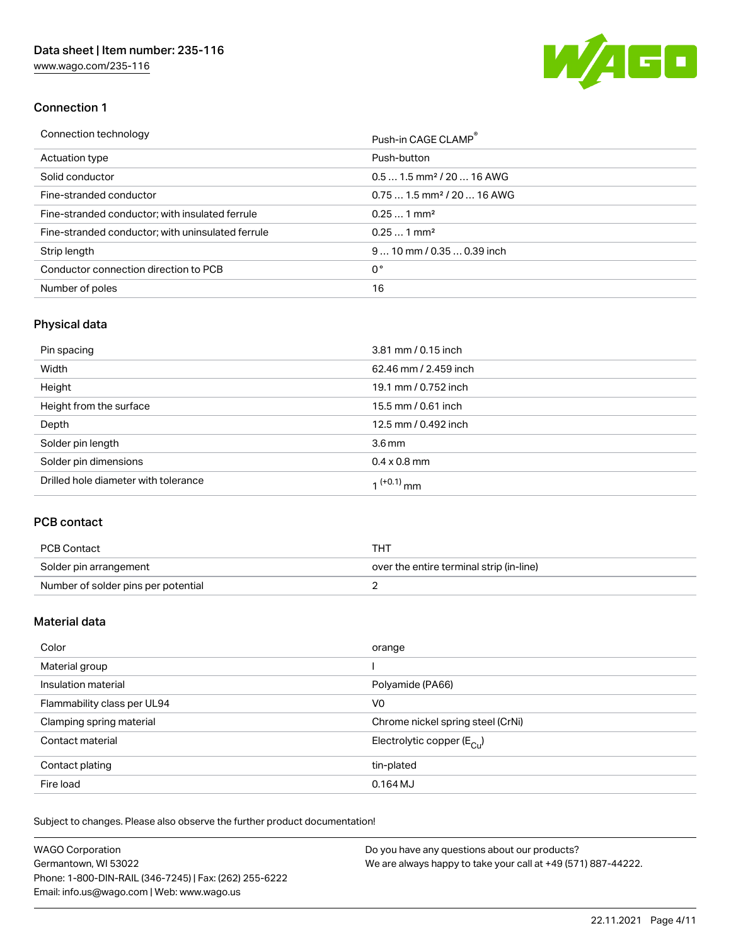[www.wago.com/235-116](http://www.wago.com/235-116)



## Connection 1

| Connection technology                             | Push-in CAGE CLAMP®                    |
|---------------------------------------------------|----------------------------------------|
| Actuation type                                    | Push-button                            |
| Solid conductor                                   | $0.51.5$ mm <sup>2</sup> / 20  16 AWG  |
| Fine-stranded conductor                           | $0.751.5$ mm <sup>2</sup> / 20  16 AWG |
| Fine-stranded conductor; with insulated ferrule   | $0.251$ mm <sup>2</sup>                |
| Fine-stranded conductor; with uninsulated ferrule | $0.251$ mm <sup>2</sup>                |
| Strip length                                      | $9$ 10 mm / 0.35 $$ 0.39 inch          |
| Conductor connection direction to PCB             | 0°                                     |
| Number of poles                                   | 16                                     |

# Physical data

| Pin spacing                          | 3.81 mm / 0.15 inch    |
|--------------------------------------|------------------------|
| Width                                | 62.46 mm / 2.459 inch  |
| Height                               | 19.1 mm / 0.752 inch   |
| Height from the surface              | 15.5 mm / 0.61 inch    |
| Depth                                | 12.5 mm / 0.492 inch   |
| Solder pin length                    | 3.6 <sub>mm</sub>      |
| Solder pin dimensions                | $0.4 \times 0.8$ mm    |
| Drilled hole diameter with tolerance | 1 <sup>(+0.1)</sup> mm |

# PCB contact

| PCB Contact                         | тнт                                      |
|-------------------------------------|------------------------------------------|
| Solder pin arrangement              | over the entire terminal strip (in-line) |
| Number of solder pins per potential |                                          |

# Material data

| Color                       | orange                                |
|-----------------------------|---------------------------------------|
| Material group              |                                       |
| Insulation material         | Polyamide (PA66)                      |
| Flammability class per UL94 | V0                                    |
| Clamping spring material    | Chrome nickel spring steel (CrNi)     |
| Contact material            | Electrolytic copper $(E_{\text{CL}})$ |
| Contact plating             | tin-plated                            |
| Fire load                   | $0.164$ MJ                            |

Subject to changes. Please also observe the further product documentation!

| <b>WAGO Corporation</b>                                | Do you have any questions about our products?                 |
|--------------------------------------------------------|---------------------------------------------------------------|
| Germantown, WI 53022                                   | We are always happy to take your call at +49 (571) 887-44222. |
| Phone: 1-800-DIN-RAIL (346-7245)   Fax: (262) 255-6222 |                                                               |
| Email: info.us@wago.com   Web: www.wago.us             |                                                               |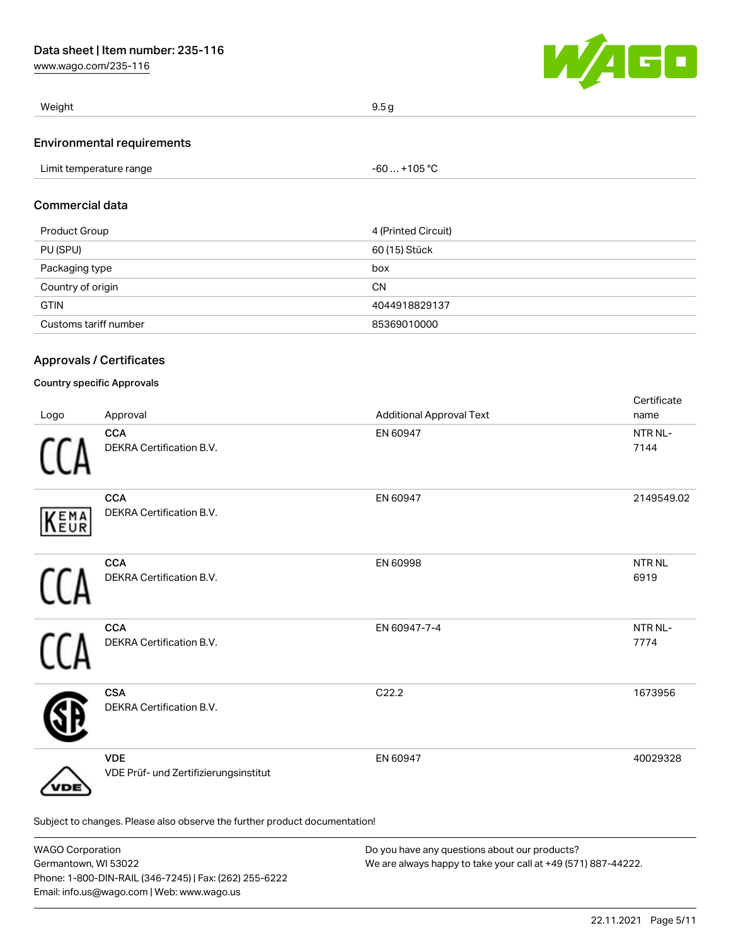[www.wago.com/235-116](http://www.wago.com/235-116)



| Weight                            | 9.5q |
|-----------------------------------|------|
| <b>Environmental requirements</b> |      |

## Commercial data

| Product Group         | 4 (Printed Circuit) |
|-----------------------|---------------------|
| PU (SPU)              | 60 (15) Stück       |
| Packaging type        | box                 |
| Country of origin     | <b>CN</b>           |
| <b>GTIN</b>           | 4044918829137       |
| Customs tariff number | 85369010000         |

# Approvals / Certificates

### Country specific Approvals

| Logo | Approval                                                                   | <b>Additional Approval Text</b> | Certificate<br>name  |
|------|----------------------------------------------------------------------------|---------------------------------|----------------------|
|      | <b>CCA</b><br>DEKRA Certification B.V.                                     | EN 60947                        | NTR NL-<br>7144      |
| KEMA | <b>CCA</b><br>DEKRA Certification B.V.                                     | EN 60947                        | 2149549.02           |
|      | <b>CCA</b><br>DEKRA Certification B.V.                                     | EN 60998                        | <b>NTRNL</b><br>6919 |
|      | <b>CCA</b><br>DEKRA Certification B.V.                                     | EN 60947-7-4                    | NTR NL-<br>7774      |
|      | <b>CSA</b><br>DEKRA Certification B.V.                                     | C22.2                           | 1673956              |
| DE   | <b>VDE</b><br>VDE Prüf- und Zertifizierungsinstitut                        | EN 60947                        | 40029328             |
|      | Subject to changes. Please also observe the further product documentation! |                                 |                      |

| <b>WAGO Corporation</b>                                | Do you have any questions about our products?                 |
|--------------------------------------------------------|---------------------------------------------------------------|
| Germantown, WI 53022                                   | We are always happy to take your call at +49 (571) 887-44222. |
| Phone: 1-800-DIN-RAIL (346-7245)   Fax: (262) 255-6222 |                                                               |
| Email: info.us@wago.com   Web: www.wago.us             |                                                               |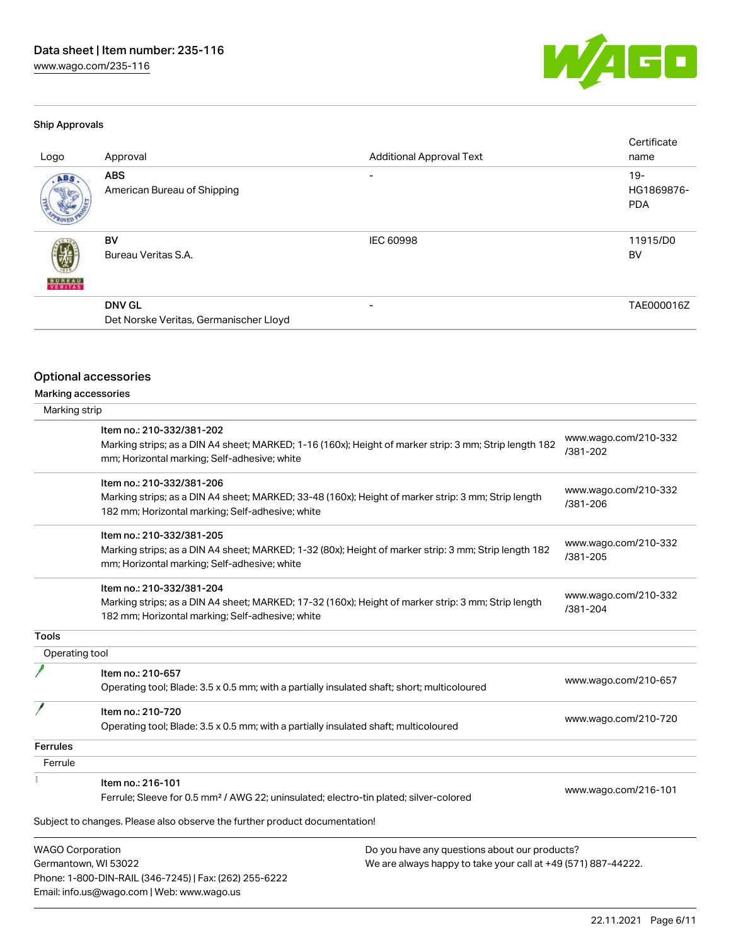[www.wago.com/235-116](http://www.wago.com/235-116)



## Ship Approvals

| Logo          | Approval                                                | <b>Additional Approval Text</b> | Certificate<br>name               |
|---------------|---------------------------------------------------------|---------------------------------|-----------------------------------|
| ABS.          | <b>ABS</b><br>American Bureau of Shipping               | $\overline{\phantom{0}}$        | $19-$<br>HG1869876-<br><b>PDA</b> |
| <b>BUREAU</b> | BV<br>Bureau Veritas S.A.                               | <b>IEC 60998</b>                | 11915/D0<br>BV                    |
|               | <b>DNV GL</b><br>Det Norske Veritas, Germanischer Lloyd | $\overline{\phantom{0}}$        | TAE000016Z                        |

# Optional accessories

Email: info.us@wago.com | Web: www.wago.us

Marking accessories

| Marking strip           |                                                                                                                                                                                      |                                                               |                                  |
|-------------------------|--------------------------------------------------------------------------------------------------------------------------------------------------------------------------------------|---------------------------------------------------------------|----------------------------------|
|                         | Item no.: 210-332/381-202<br>Marking strips; as a DIN A4 sheet; MARKED; 1-16 (160x); Height of marker strip: 3 mm; Strip length 182<br>mm; Horizontal marking; Self-adhesive; white  |                                                               | www.wago.com/210-332<br>/381-202 |
|                         | Item no.: 210-332/381-206<br>Marking strips; as a DIN A4 sheet; MARKED; 33-48 (160x); Height of marker strip: 3 mm; Strip length<br>182 mm; Horizontal marking; Self-adhesive; white |                                                               | www.wago.com/210-332<br>/381-206 |
|                         | Item no.: 210-332/381-205<br>Marking strips; as a DIN A4 sheet; MARKED; 1-32 (80x); Height of marker strip: 3 mm; Strip length 182<br>mm; Horizontal marking; Self-adhesive; white   |                                                               | www.wago.com/210-332<br>/381-205 |
|                         | Item no.: 210-332/381-204<br>Marking strips; as a DIN A4 sheet; MARKED; 17-32 (160x); Height of marker strip: 3 mm; Strip length<br>182 mm; Horizontal marking; Self-adhesive; white |                                                               | www.wago.com/210-332<br>/381-204 |
| Tools                   |                                                                                                                                                                                      |                                                               |                                  |
| Operating tool          |                                                                                                                                                                                      |                                                               |                                  |
|                         | Item no.: 210-657<br>Operating tool; Blade: 3.5 x 0.5 mm; with a partially insulated shaft; short; multicoloured                                                                     |                                                               | www.wago.com/210-657             |
|                         | Item no.: 210-720<br>Operating tool; Blade: 3.5 x 0.5 mm; with a partially insulated shaft; multicoloured                                                                            |                                                               | www.wago.com/210-720             |
| <b>Ferrules</b>         |                                                                                                                                                                                      |                                                               |                                  |
| Ferrule                 |                                                                                                                                                                                      |                                                               |                                  |
|                         | Item no.: 216-101<br>Ferrule; Sleeve for 0.5 mm <sup>2</sup> / AWG 22; uninsulated; electro-tin plated; silver-colored                                                               |                                                               | www.wago.com/216-101             |
|                         | Subject to changes. Please also observe the further product documentation!                                                                                                           |                                                               |                                  |
| <b>WAGO Corporation</b> |                                                                                                                                                                                      | Do you have any questions about our products?                 |                                  |
| Germantown, WI 53022    |                                                                                                                                                                                      | We are always happy to take your call at +49 (571) 887-44222. |                                  |
|                         | Phone: 1-800-DIN-RAIL (346-7245)   Fax: (262) 255-6222                                                                                                                               |                                                               |                                  |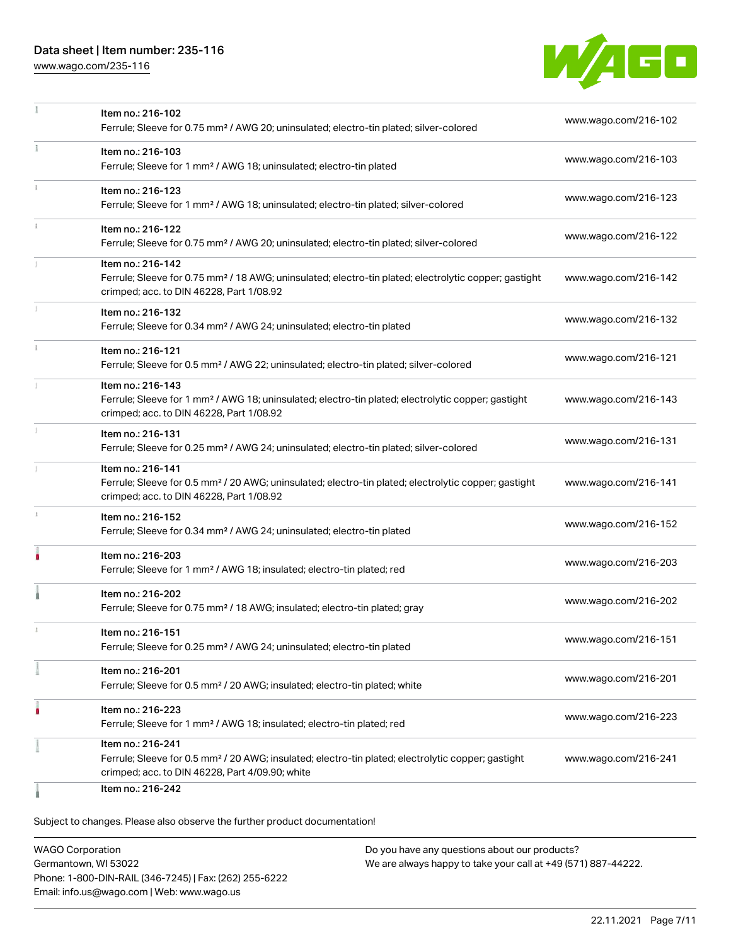# Data sheet | Item number: 235-116

[www.wago.com/235-116](http://www.wago.com/235-116)



| www.wago.com/216-102<br>www.wago.com/216-103<br>www.wago.com/216-123                                                                      |
|-------------------------------------------------------------------------------------------------------------------------------------------|
|                                                                                                                                           |
|                                                                                                                                           |
|                                                                                                                                           |
|                                                                                                                                           |
|                                                                                                                                           |
| www.wago.com/216-122                                                                                                                      |
|                                                                                                                                           |
|                                                                                                                                           |
| Ferrule; Sleeve for 0.75 mm <sup>2</sup> / 18 AWG; uninsulated; electro-tin plated; electrolytic copper; gastight<br>www.wago.com/216-142 |
|                                                                                                                                           |
| www.wago.com/216-132                                                                                                                      |
|                                                                                                                                           |
| www.wago.com/216-121                                                                                                                      |
|                                                                                                                                           |
| Ferrule; Sleeve for 1 mm <sup>2</sup> / AWG 18; uninsulated; electro-tin plated; electrolytic copper; gastight<br>www.wago.com/216-143    |
|                                                                                                                                           |
| www.wago.com/216-131                                                                                                                      |
|                                                                                                                                           |
|                                                                                                                                           |
| Ferrule; Sleeve for 0.5 mm <sup>2</sup> / 20 AWG; uninsulated; electro-tin plated; electrolytic copper; gastight<br>www.wago.com/216-141  |
|                                                                                                                                           |
| www.wago.com/216-152                                                                                                                      |
|                                                                                                                                           |
| www.wago.com/216-203                                                                                                                      |
|                                                                                                                                           |
| www.wago.com/216-202                                                                                                                      |
|                                                                                                                                           |
| www.wago.com/216-151                                                                                                                      |
|                                                                                                                                           |
| www.wago.com/216-201                                                                                                                      |
|                                                                                                                                           |
| www.wago.com/216-223                                                                                                                      |
|                                                                                                                                           |
| Ferrule; Sleeve for 0.5 mm <sup>2</sup> / 20 AWG; insulated; electro-tin plated; electrolytic copper; gastight<br>www.wago.com/216-241    |
|                                                                                                                                           |
|                                                                                                                                           |

Subject to changes. Please also observe the further product documentation!

WAGO Corporation Germantown, WI 53022 Phone: 1-800-DIN-RAIL (346-7245) | Fax: (262) 255-6222 Email: info.us@wago.com | Web: www.wago.us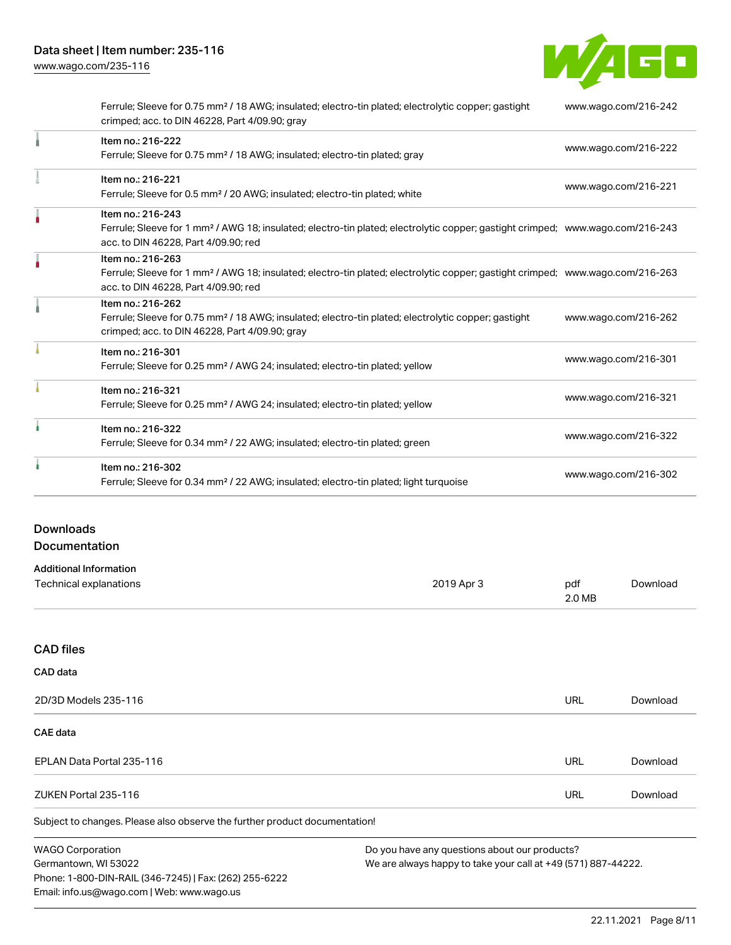W/4GO

|   | Ferrule; Sleeve for 0.75 mm <sup>2</sup> / 18 AWG; insulated; electro-tin plated; electrolytic copper; gastight<br>crimped; acc. to DIN 46228, Part 4/09.90; gray                                       | www.wago.com/216-242 |
|---|---------------------------------------------------------------------------------------------------------------------------------------------------------------------------------------------------------|----------------------|
|   | Item no.: 216-222<br>Ferrule; Sleeve for 0.75 mm <sup>2</sup> / 18 AWG; insulated; electro-tin plated; gray                                                                                             | www.wago.com/216-222 |
|   | Item no.: 216-221<br>Ferrule; Sleeve for 0.5 mm <sup>2</sup> / 20 AWG; insulated; electro-tin plated; white                                                                                             | www.wago.com/216-221 |
|   | Item no.: 216-243<br>Ferrule; Sleeve for 1 mm <sup>2</sup> / AWG 18; insulated; electro-tin plated; electrolytic copper; gastight crimped; www.wago.com/216-243<br>acc. to DIN 46228, Part 4/09.90; red |                      |
|   | Item no.: 216-263<br>Ferrule; Sleeve for 1 mm <sup>2</sup> / AWG 18; insulated; electro-tin plated; electrolytic copper; gastight crimped; www.wago.com/216-263<br>acc. to DIN 46228, Part 4/09.90; red |                      |
|   | Item no.: 216-262<br>Ferrule; Sleeve for 0.75 mm <sup>2</sup> / 18 AWG; insulated; electro-tin plated; electrolytic copper; gastight<br>crimped; acc. to DIN 46228, Part 4/09.90; gray                  | www.wago.com/216-262 |
|   | Item no.: 216-301<br>Ferrule; Sleeve for 0.25 mm <sup>2</sup> / AWG 24; insulated; electro-tin plated; yellow                                                                                           | www.wago.com/216-301 |
|   | Item no.: 216-321<br>Ferrule; Sleeve for 0.25 mm <sup>2</sup> / AWG 24; insulated; electro-tin plated; yellow                                                                                           | www.wago.com/216-321 |
|   | Item no.: 216-322<br>Ferrule; Sleeve for 0.34 mm <sup>2</sup> / 22 AWG; insulated; electro-tin plated; green                                                                                            | www.wago.com/216-322 |
| ٠ | Item no.: 216-302<br>Ferrule; Sleeve for 0.34 mm <sup>2</sup> / 22 AWG; insulated; electro-tin plated; light turquoise                                                                                  | www.wago.com/216-302 |

# Downloads Documentation

| <b>Additional Information</b> |            |        |          |
|-------------------------------|------------|--------|----------|
| Technical explanations        | 2019 Apr 3 | pdf    | Download |
|                               |            | 2.0 MB |          |

### CAD files

| CAD data                  |     |          |
|---------------------------|-----|----------|
| 2D/3D Models 235-116      | URL | Download |
| <b>CAE data</b>           |     |          |
| EPLAN Data Portal 235-116 | URL | Download |
| ZUKEN Portal 235-116      | URL | Download |
|                           |     |          |

Subject to changes. Please also observe the further product documentation!

WAGO Corporation Germantown, WI 53022 Phone: 1-800-DIN-RAIL (346-7245) | Fax: (262) 255-6222 Email: info.us@wago.com | Web: www.wago.us

Do you have any questions about our products?

We are always happy to take your call at +49 (571) 887-44222.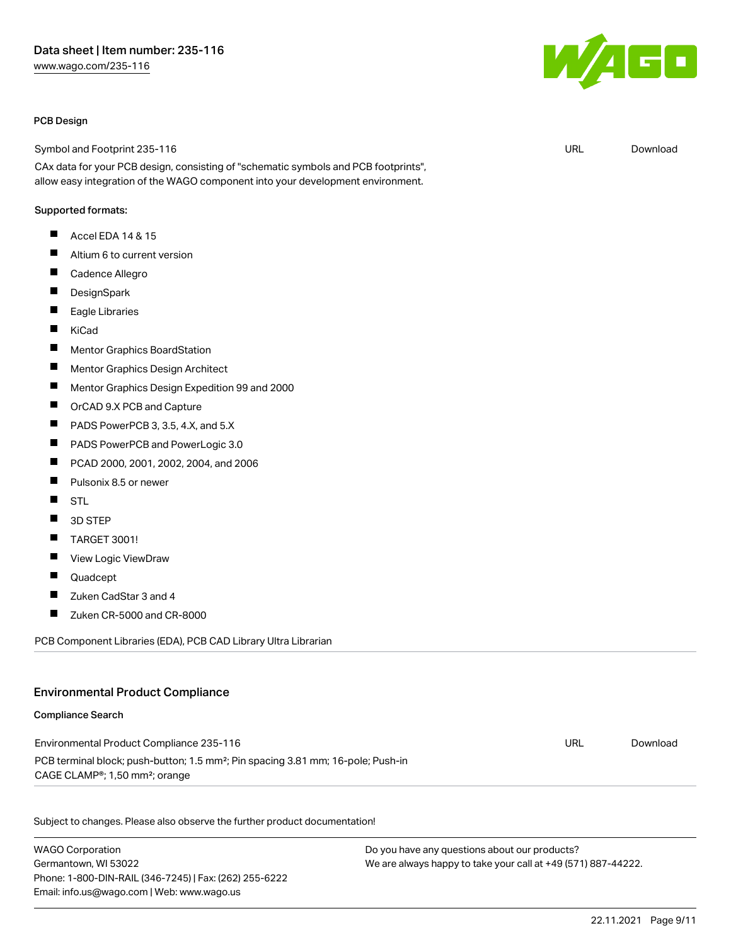#### PCB Design

Symbol and Footprint 235-116

CAx data for your PCB design, consisting of "schematic symbols and PCB footprints", allow easy integration of the WAGO component into your development environment.

#### Supported formats:

- $\blacksquare$ Accel EDA 14 & 15
- $\blacksquare$ Altium 6 to current version
- П Cadence Allegro
- П **DesignSpark**
- $\blacksquare$ Eagle Libraries
- $\blacksquare$ KiCad
- $\blacksquare$ Mentor Graphics BoardStation
- П Mentor Graphics Design Architect
- П Mentor Graphics Design Expedition 99 and 2000
- П OrCAD 9.X PCB and Capture
- $\blacksquare$ PADS PowerPCB 3, 3.5, 4.X, and 5.X
- $\blacksquare$ PADS PowerPCB and PowerLogic 3.0
- П PCAD 2000, 2001, 2002, 2004, and 2006
- П Pulsonix 8.5 or newer
- П **STL**
- П 3D STEP
- П TARGET 3001!
- П View Logic ViewDraw
- П Quadcept
- П Zuken CadStar 3 and 4
- $\blacksquare$ Zuken CR-5000 and CR-8000

PCB Component Libraries (EDA), PCB CAD Library Ultra Librarian

### Environmental Product Compliance

#### Compliance Search

| Environmental Product Compliance 235-116                                                     | URL | Download |
|----------------------------------------------------------------------------------------------|-----|----------|
| PCB terminal block; push-button; 1.5 mm <sup>2</sup> ; Pin spacing 3.81 mm; 16-pole; Push-in |     |          |
| CAGE CLAMP®; 1,50 mm²; orange                                                                |     |          |

Subject to changes. Please also observe the further product documentation!

WAGO Corporation Germantown, WI 53022 Phone: 1-800-DIN-RAIL (346-7245) | Fax: (262) 255-6222 Email: info.us@wago.com | Web: www.wago.us

Do you have any questions about our products? We are always happy to take your call at +49 (571) 887-44222.



URL [Download](https://www.wago.com/global/d/UltraLibrarian_URLS_235-116)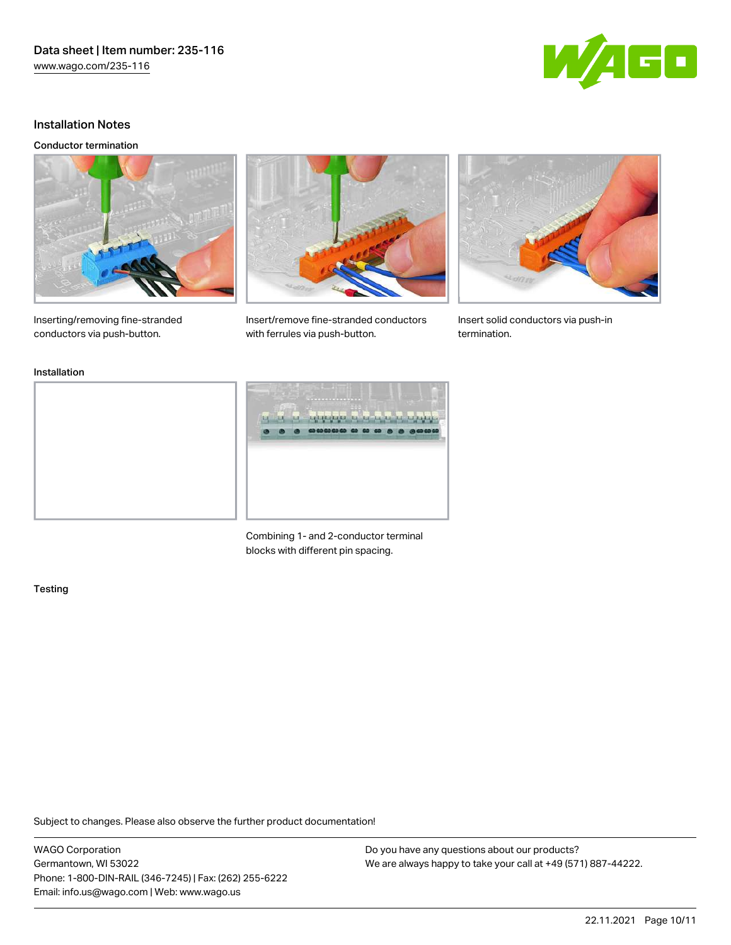

# Installation Notes

#### Conductor termination



Inserting/removing fine-stranded conductors via push-button.



Insert/remove fine-stranded conductors with ferrules via push-button.



Insert solid conductors via push-in termination.

#### Installation



Combining 1- and 2-conductor terminal blocks with different pin spacing.

#### **Testing**

Subject to changes. Please also observe the further product documentation!

WAGO Corporation Germantown, WI 53022 Phone: 1-800-DIN-RAIL (346-7245) | Fax: (262) 255-6222 Email: info.us@wago.com | Web: www.wago.us